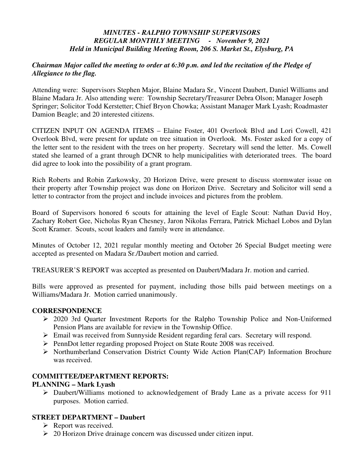# *MINUTES - RALPHO TOWNSHIP SUPERVISORS REGULAR MONTHLY MEETING - November 9, 2021 Held in Municipal Building Meeting Room, 206 S. Market St., Elysburg, PA*

# *Chairman Major called the meeting to order at 6:30 p.m. and led the recitation of the Pledge of Allegiance to the flag.*

Attending were: Supervisors Stephen Major, Blaine Madara Sr.*,* Vincent Daubert, Daniel Williams and Blaine Madara Jr. Also attending were: Township Secretary/Treasurer Debra Olson; Manager Joseph Springer; Solicitor Todd Kerstetter; Chief Bryon Chowka; Assistant Manager Mark Lyash; Roadmaster Damion Beagle; and 20 interested citizens.

CITIZEN INPUT ON AGENDA ITEMS – Elaine Foster, 401 Overlook Blvd and Lori Cowell, 421 Overlook Blvd, were present for update on tree situation in Overlook. Ms. Foster asked for a copy of the letter sent to the resident with the trees on her property. Secretary will send the letter. Ms. Cowell stated she learned of a grant through DCNR to help municipalities with deteriorated trees. The board did agree to look into the possibility of a grant program.

Rich Roberts and Robin Zarkowsky, 20 Horizon Drive, were present to discuss stormwater issue on their property after Township project was done on Horizon Drive. Secretary and Solicitor will send a letter to contractor from the project and include invoices and pictures from the problem.

Board of Supervisors honored 6 scouts for attaining the level of Eagle Scout: Nathan David Hoy, Zachary Robert Gee, Nicholas Ryan Chesney, Jaron Nikolas Ferrara, Patrick Michael Lobos and Dylan Scott Kramer. Scouts, scout leaders and family were in attendance.

Minutes of October 12, 2021 regular monthly meeting and October 26 Special Budget meeting were accepted as presented on Madara Sr./Daubert motion and carried.

TREASURER'S REPORT was accepted as presented on Daubert/Madara Jr. motion and carried.

Bills were approved as presented for payment, including those bills paid between meetings on a Williams/Madara Jr. Motion carried unanimously.

# **CORRESPONDENCE**

- 2020 3rd Quarter Investment Reports for the Ralpho Township Police and Non-Uniformed Pension Plans are available for review in the Township Office.
- Email was received from Sunnyside Resident regarding feral cars. Secretary will respond.
- PennDot letter regarding proposed Project on State Route 2008 was received.
- Northumberland Conservation District County Wide Action Plan(CAP) Information Brochure was received.

# **COMMITTEE/DEPARTMENT REPORTS:**

#### **PLANNING – Mark Lyash**

 Daubert/Williams motioned to acknowledgement of Brady Lane as a private access for 911 purposes. Motion carried.

# **STREET DEPARTMENT – Daubert**

- $\triangleright$  Report was received.
- 20 Horizon Drive drainage concern was discussed under citizen input.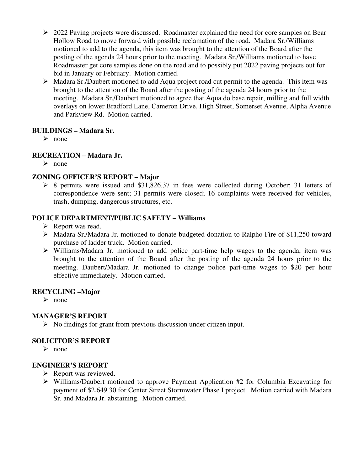- 2022 Paving projects were discussed. Roadmaster explained the need for core samples on Bear Hollow Road to move forward with possible reclamation of the road. Madara Sr./Williams motioned to add to the agenda, this item was brought to the attention of the Board after the posting of the agenda 24 hours prior to the meeting. Madara Sr./Williams motioned to have Roadmaster get core samples done on the road and to possibly put 2022 paving projects out for bid in January or February. Motion carried.
- Madara Sr./Daubert motioned to add Aqua project road cut permit to the agenda. This item was brought to the attention of the Board after the posting of the agenda 24 hours prior to the meeting. Madara Sr./Daubert motioned to agree that Aqua do base repair, milling and full width overlays on lower Bradford Lane, Cameron Drive, High Street, Somerset Avenue, Alpha Avenue and Parkview Rd. Motion carried.

# **BUILDINGS – Madara Sr.**

 $\triangleright$  none

# **RECREATION – Madara Jr.**

 $\triangleright$  none

# **ZONING OFFICER'S REPORT – Major**

 8 permits were issued and \$31,826.37 in fees were collected during October; 31 letters of correspondence were sent; 31 permits were closed; 16 complaints were received for vehicles, trash, dumping, dangerous structures, etc.

# **POLICE DEPARTMENT/PUBLIC SAFETY – Williams**

- $\triangleright$  Report was read.
- $\triangleright$  Madara Sr./Madara Jr. motioned to donate budgeted donation to Ralpho Fire of \$11,250 toward purchase of ladder truck. Motion carried.
- $\triangleright$  Williams/Madara Jr. motioned to add police part-time help wages to the agenda, item was brought to the attention of the Board after the posting of the agenda 24 hours prior to the meeting. Daubert/Madara Jr. motioned to change police part-time wages to \$20 per hour effective immediately. Motion carried.

# **RECYCLING –Major**

 $\triangleright$  none

# **MANAGER'S REPORT**

 $\triangleright$  No findings for grant from previous discussion under citizen input.

# **SOLICITOR'S REPORT**

 $\triangleright$  none

# **ENGINEER'S REPORT**

- $\triangleright$  Report was reviewed.
- $\triangleright$  Williams/Daubert motioned to approve Payment Application #2 for Columbia Excavating for payment of \$2,649.30 for Center Street Stormwater Phase I project. Motion carried with Madara Sr. and Madara Jr. abstaining. Motion carried.